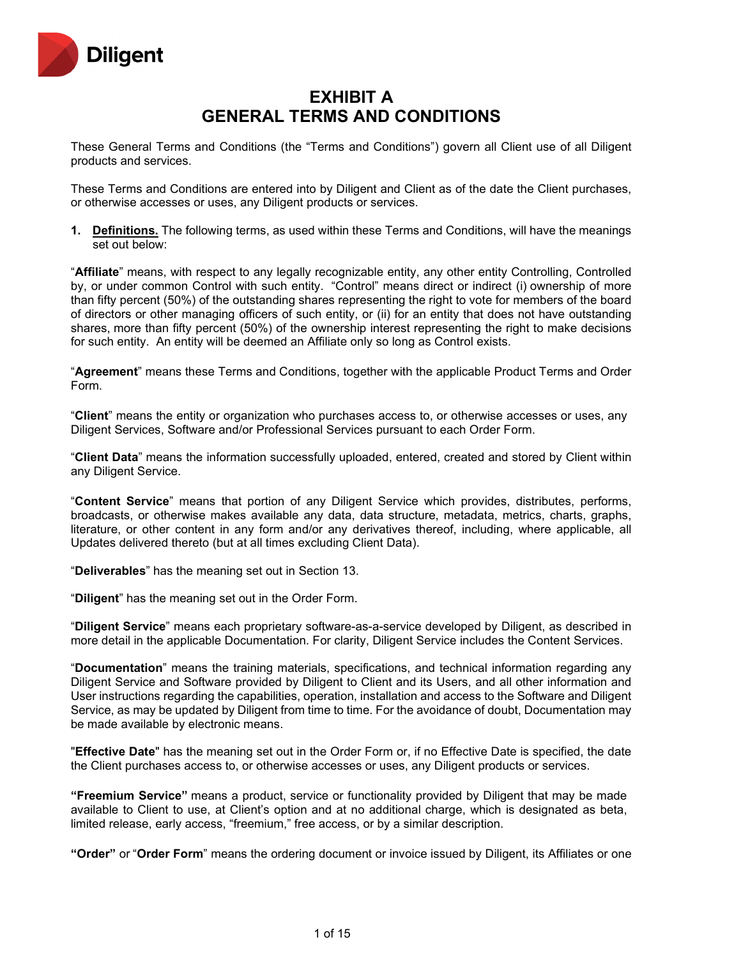

# **EXHIBIT A GENERAL TERMS AND CONDITIONS**

These General Terms and Conditions (the "Terms and Conditions") govern all Client use of all Diligent products and services.

These Terms and Conditions are entered into by Diligent and Client as of the date the Client purchases, or otherwise accesses or uses, any Diligent products or services.

**1. Definitions.** The following terms, as used within these Terms and Conditions, will have the meanings set out below:

"**Affiliate**" means, with respect to any legally recognizable entity, any other entity Controlling, Controlled by, or under common Control with such entity. "Control" means direct or indirect (i) ownership of more than fifty percent (50%) of the outstanding shares representing the right to vote for members of the board of directors or other managing officers of such entity, or (ii) for an entity that does not have outstanding shares, more than fifty percent (50%) of the ownership interest representing the right to make decisions for such entity. An entity will be deemed an Affiliate only so long as Control exists.

"**Agreement**" means these Terms and Conditions, together with the applicable Product Terms and Order Form.

"**Client**" means the entity or organization who purchases access to, or otherwise accesses or uses, any Diligent Services, Software and/or Professional Services pursuant to each Order Form.

"**Client Data**" means the information successfully uploaded, entered, created and stored by Client within any Diligent Service.

"**Content Service**" means that portion of any Diligent Service which provides, distributes, performs, broadcasts, or otherwise makes available any data, data structure, metadata, metrics, charts, graphs, literature, or other content in any form and/or any derivatives thereof, including, where applicable, all Updates delivered thereto (but at all times excluding Client Data).

"**Deliverables**" has the meaning set out in Section 13.

"**Diligent**" has the meaning set out in the Order Form.

"**Diligent Service**" means each proprietary software-as-a-service developed by Diligent, as described in more detail in the applicable Documentation. For clarity, Diligent Service includes the Content Services.

"**Documentation**" means the training materials, specifications, and technical information regarding any Diligent Service and Software provided by Diligent to Client and its Users, and all other information and User instructions regarding the capabilities, operation, installation and access to the Software and Diligent Service, as may be updated by Diligent from time to time. For the avoidance of doubt, Documentation may be made available by electronic means.

"**Effective Date**" has the meaning set out in the Order Form or, if no Effective Date is specified, the date the Client purchases access to, or otherwise accesses or uses, any Diligent products or services.

**"Freemium Service"** means a product, service or functionality provided by Diligent that may be made available to Client to use, at Client's option and at no additional charge, which is designated as beta, limited release, early access, "freemium," free access, or by a similar description.

**"Order"** or "**Order Form**" means the ordering document or invoice issued by Diligent, its Affiliates or one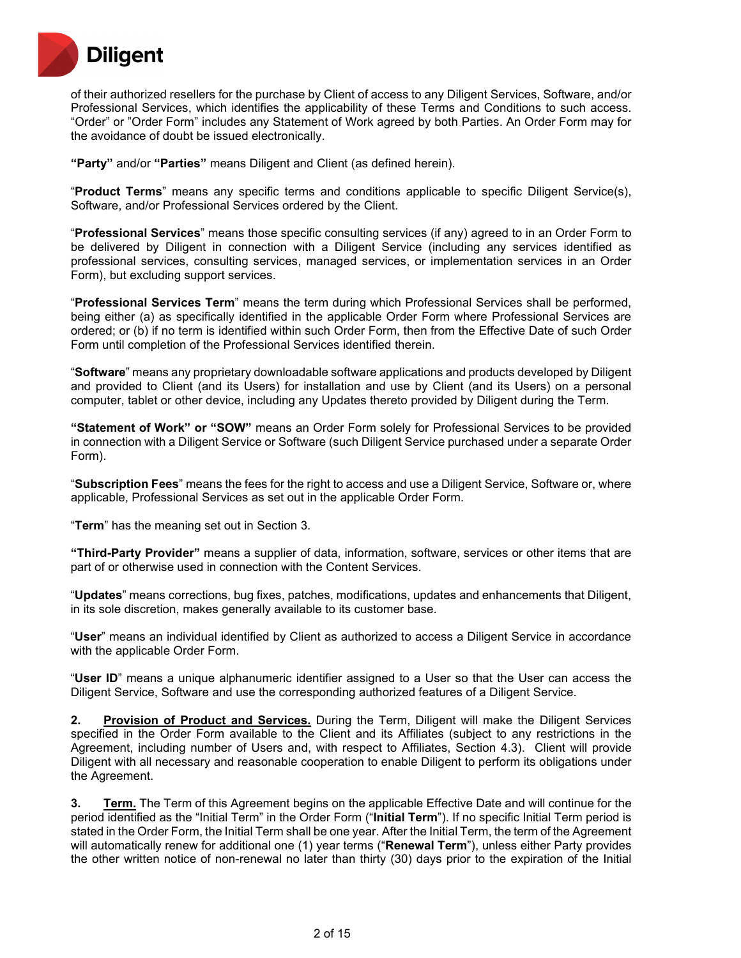

of their authorized resellers for the purchase by Client of access to any Diligent Services, Software, and/or Professional Services, which identifies the applicability of these Terms and Conditions to such access. "Order" or "Order Form" includes any Statement of Work agreed by both Parties. An Order Form may for the avoidance of doubt be issued electronically.

**"Party"** and/or **"Parties"** means Diligent and Client (as defined herein).

"**Product Terms**" means any specific terms and conditions applicable to specific Diligent Service(s), Software, and/or Professional Services ordered by the Client.

"**Professional Services**" means those specific consulting services (if any) agreed to in an Order Form to be delivered by Diligent in connection with a Diligent Service (including any services identified as professional services, consulting services, managed services, or implementation services in an Order Form), but excluding support services.

"**Professional Services Term**" means the term during which Professional Services shall be performed, being either (a) as specifically identified in the applicable Order Form where Professional Services are ordered; or (b) if no term is identified within such Order Form, then from the Effective Date of such Order Form until completion of the Professional Services identified therein.

"**Software**" means any proprietary downloadable software applications and products developed by Diligent and provided to Client (and its Users) for installation and use by Client (and its Users) on a personal computer, tablet or other device, including any Updates thereto provided by Diligent during the Term.

**"Statement of Work" or "SOW"** means an Order Form solely for Professional Services to be provided in connection with a Diligent Service or Software (such Diligent Service purchased under a separate Order Form).

"**Subscription Fees**" means the fees for the right to access and use a Diligent Service, Software or, where applicable, Professional Services as set out in the applicable Order Form.

"**Term**" has the meaning set out in Section 3.

**"Third-Party Provider"** means a supplier of data, information, software, services or other items that are part of or otherwise used in connection with the Content Services.

"**Updates**" means corrections, bug fixes, patches, modifications, updates and enhancements that Diligent, in its sole discretion, makes generally available to its customer base.

"**User**" means an individual identified by Client as authorized to access a Diligent Service in accordance with the applicable Order Form.

"**User ID**" means a unique alphanumeric identifier assigned to a User so that the User can access the Diligent Service, Software and use the corresponding authorized features of a Diligent Service.

**2. Provision of Product and Services.** During the Term, Diligent will make the Diligent Services specified in the Order Form available to the Client and its Affiliates (subject to any restrictions in the Agreement, including number of Users and, with respect to Affiliates, Section 4.3). Client will provide Diligent with all necessary and reasonable cooperation to enable Diligent to perform its obligations under the Agreement.

**3. Term.** The Term of this Agreement begins on the applicable Effective Date and will continue for the period identified as the "Initial Term" in the Order Form ("**Initial Term**"). If no specific Initial Term period is stated in the Order Form, the Initial Term shall be one year. After the Initial Term, the term of the Agreement will automatically renew for additional one (1) year terms ("**Renewal Term**"), unless either Party provides the other written notice of non-renewal no later than thirty (30) days prior to the expiration of the Initial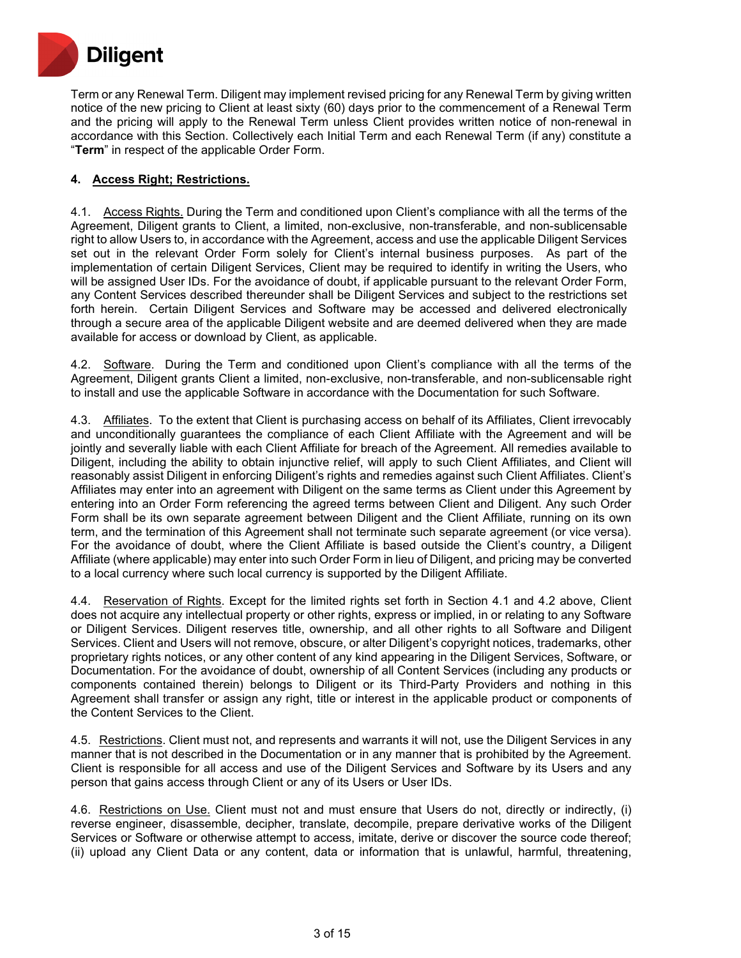

Term or any Renewal Term. Diligent may implement revised pricing for any Renewal Term by giving written notice of the new pricing to Client at least sixty (60) days prior to the commencement of a Renewal Term and the pricing will apply to the Renewal Term unless Client provides written notice of non-renewal in accordance with this Section. Collectively each Initial Term and each Renewal Term (if any) constitute a "**Term**" in respect of the applicable Order Form.

# **4. Access Right; Restrictions.**

4.1. Access Rights. During the Term and conditioned upon Client's compliance with all the terms of the Agreement, Diligent grants to Client, a limited, non-exclusive, non-transferable, and non-sublicensable right to allow Users to, in accordance with the Agreement, access and use the applicable Diligent Services set out in the relevant Order Form solely for Client's internal business purposes. As part of the implementation of certain Diligent Services, Client may be required to identify in writing the Users, who will be assigned User IDs. For the avoidance of doubt, if applicable pursuant to the relevant Order Form, any Content Services described thereunder shall be Diligent Services and subject to the restrictions set forth herein. Certain Diligent Services and Software may be accessed and delivered electronically through a secure area of the applicable Diligent website and are deemed delivered when they are made available for access or download by Client, as applicable.

4.2. Software. During the Term and conditioned upon Client's compliance with all the terms of the Agreement, Diligent grants Client a limited, non-exclusive, non-transferable, and non-sublicensable right to install and use the applicable Software in accordance with the Documentation for such Software.

4.3. Affiliates. To the extent that Client is purchasing access on behalf of its Affiliates, Client irrevocably and unconditionally guarantees the compliance of each Client Affiliate with the Agreement and will be jointly and severally liable with each Client Affiliate for breach of the Agreement. All remedies available to Diligent, including the ability to obtain injunctive relief, will apply to such Client Affiliates, and Client will reasonably assist Diligent in enforcing Diligent's rights and remedies against such Client Affiliates. Client's Affiliates may enter into an agreement with Diligent on the same terms as Client under this Agreement by entering into an Order Form referencing the agreed terms between Client and Diligent. Any such Order Form shall be its own separate agreement between Diligent and the Client Affiliate, running on its own term, and the termination of this Agreement shall not terminate such separate agreement (or vice versa). For the avoidance of doubt, where the Client Affiliate is based outside the Client's country, a Diligent Affiliate (where applicable) may enter into such Order Form in lieu of Diligent, and pricing may be converted to a local currency where such local currency is supported by the Diligent Affiliate.

4.4. Reservation of Rights. Except for the limited rights set forth in Section 4.1 and 4.2 above, Client does not acquire any intellectual property or other rights, express or implied, in or relating to any Software or Diligent Services. Diligent reserves title, ownership, and all other rights to all Software and Diligent Services. Client and Users will not remove, obscure, or alter Diligent's copyright notices, trademarks, other proprietary rights notices, or any other content of any kind appearing in the Diligent Services, Software, or Documentation. For the avoidance of doubt, ownership of all Content Services (including any products or components contained therein) belongs to Diligent or its Third-Party Providers and nothing in this Agreement shall transfer or assign any right, title or interest in the applicable product or components of the Content Services to the Client.

4.5. Restrictions. Client must not, and represents and warrants it will not, use the Diligent Services in any manner that is not described in the Documentation or in any manner that is prohibited by the Agreement. Client is responsible for all access and use of the Diligent Services and Software by its Users and any person that gains access through Client or any of its Users or User IDs.

4.6. Restrictions on Use. Client must not and must ensure that Users do not, directly or indirectly, (i) reverse engineer, disassemble, decipher, translate, decompile, prepare derivative works of the Diligent Services or Software or otherwise attempt to access, imitate, derive or discover the source code thereof; (ii) upload any Client Data or any content, data or information that is unlawful, harmful, threatening,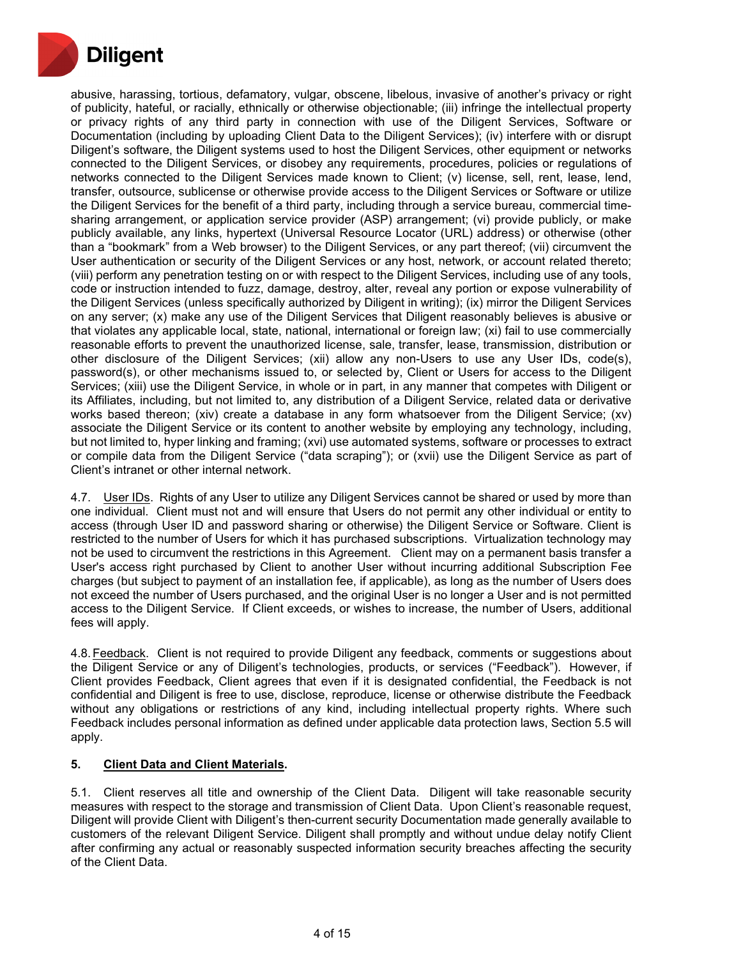

abusive, harassing, tortious, defamatory, vulgar, obscene, libelous, invasive of another's privacy or right of publicity, hateful, or racially, ethnically or otherwise objectionable; (iii) infringe the intellectual property or privacy rights of any third party in connection with use of the Diligent Services, Software or Documentation (including by uploading Client Data to the Diligent Services); (iv) interfere with or disrupt Diligent's software, the Diligent systems used to host the Diligent Services, other equipment or networks connected to the Diligent Services, or disobey any requirements, procedures, policies or regulations of networks connected to the Diligent Services made known to Client; (v) license, sell, rent, lease, lend, transfer, outsource, sublicense or otherwise provide access to the Diligent Services or Software or utilize the Diligent Services for the benefit of a third party, including through a service bureau, commercial timesharing arrangement, or application service provider (ASP) arrangement; (vi) provide publicly, or make publicly available, any links, hypertext (Universal Resource Locator (URL) address) or otherwise (other than a "bookmark" from a Web browser) to the Diligent Services, or any part thereof; (vii) circumvent the User authentication or security of the Diligent Services or any host, network, or account related thereto; (viii) perform any penetration testing on or with respect to the Diligent Services, including use of any tools, code or instruction intended to fuzz, damage, destroy, alter, reveal any portion or expose vulnerability of the Diligent Services (unless specifically authorized by Diligent in writing); (ix) mirror the Diligent Services on any server; (x) make any use of the Diligent Services that Diligent reasonably believes is abusive or that violates any applicable local, state, national, international or foreign law; (xi) fail to use commercially reasonable efforts to prevent the unauthorized license, sale, transfer, lease, transmission, distribution or other disclosure of the Diligent Services; (xii) allow any non-Users to use any User IDs, code(s), password(s), or other mechanisms issued to, or selected by, Client or Users for access to the Diligent Services; (xiii) use the Diligent Service, in whole or in part, in any manner that competes with Diligent or its Affiliates, including, but not limited to, any distribution of a Diligent Service, related data or derivative works based thereon; (xiv) create a database in any form whatsoever from the Diligent Service; (xv) associate the Diligent Service or its content to another website by employing any technology, including, but not limited to, hyper linking and framing; (xvi) use automated systems, software or processes to extract or compile data from the Diligent Service ("data scraping"); or (xvii) use the Diligent Service as part of Client's intranet or other internal network.

4.7. User IDs. Rights of any User to utilize any Diligent Services cannot be shared or used by more than one individual. Client must not and will ensure that Users do not permit any other individual or entity to access (through User ID and password sharing or otherwise) the Diligent Service or Software. Client is restricted to the number of Users for which it has purchased subscriptions. Virtualization technology may not be used to circumvent the restrictions in this Agreement. Client may on a permanent basis transfer a User's access right purchased by Client to another User without incurring additional Subscription Fee charges (but subject to payment of an installation fee, if applicable), as long as the number of Users does not exceed the number of Users purchased, and the original User is no longer a User and is not permitted access to the Diligent Service. If Client exceeds, or wishes to increase, the number of Users, additional fees will apply.

4.8.Feedback. Client is not required to provide Diligent any feedback, comments or suggestions about the Diligent Service or any of Diligent's technologies, products, or services ("Feedback"). However, if Client provides Feedback, Client agrees that even if it is designated confidential, the Feedback is not confidential and Diligent is free to use, disclose, reproduce, license or otherwise distribute the Feedback without any obligations or restrictions of any kind, including intellectual property rights. Where such Feedback includes personal information as defined under applicable data protection laws, Section 5.5 will apply.

# **5. Client Data and Client Materials.**

5.1. Client reserves all title and ownership of the Client Data. Diligent will take reasonable security measures with respect to the storage and transmission of Client Data. Upon Client's reasonable request, Diligent will provide Client with Diligent's then-current security Documentation made generally available to customers of the relevant Diligent Service. Diligent shall promptly and without undue delay notify Client after confirming any actual or reasonably suspected information security breaches affecting the security of the Client Data.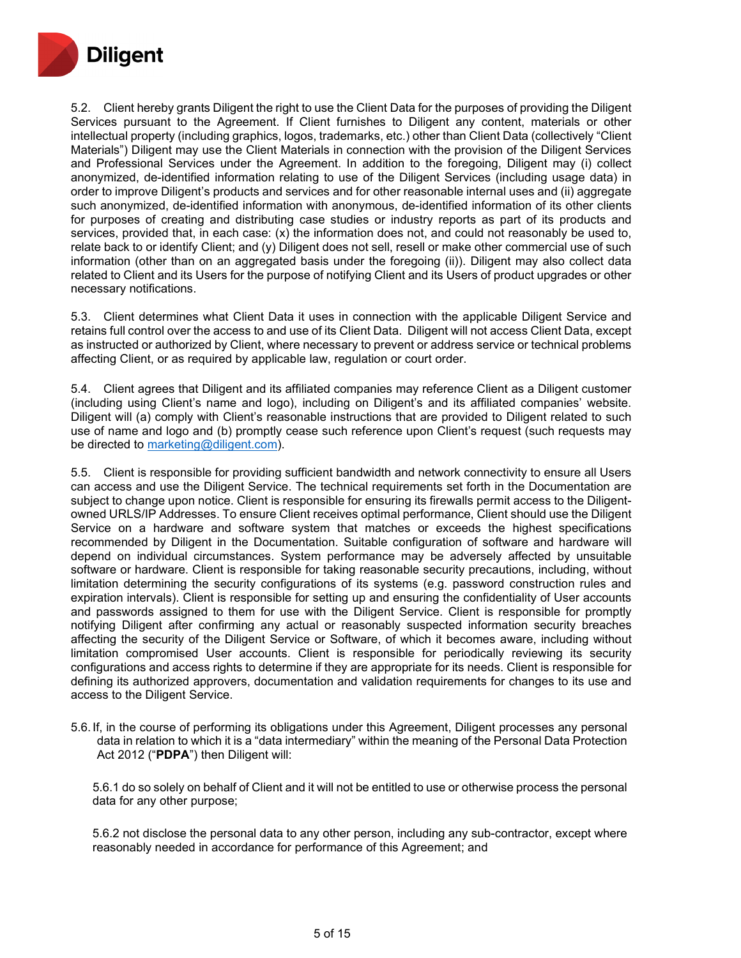

5.2. Client hereby grants Diligent the right to use the Client Data for the purposes of providing the Diligent Services pursuant to the Agreement. If Client furnishes to Diligent any content, materials or other intellectual property (including graphics, logos, trademarks, etc.) other than Client Data (collectively "Client Materials") Diligent may use the Client Materials in connection with the provision of the Diligent Services and Professional Services under the Agreement. In addition to the foregoing, Diligent may (i) collect anonymized, de-identified information relating to use of the Diligent Services (including usage data) in order to improve Diligent's products and services and for other reasonable internal uses and (ii) aggregate such anonymized, de-identified information with anonymous, de-identified information of its other clients for purposes of creating and distributing case studies or industry reports as part of its products and services, provided that, in each case: (x) the information does not, and could not reasonably be used to, relate back to or identify Client; and (y) Diligent does not sell, resell or make other commercial use of such information (other than on an aggregated basis under the foregoing (ii)). Diligent may also collect data related to Client and its Users for the purpose of notifying Client and its Users of product upgrades or other necessary notifications.

5.3. Client determines what Client Data it uses in connection with the applicable Diligent Service and retains full control over the access to and use of its Client Data. Diligent will not access Client Data, except as instructed or authorized by Client, where necessary to prevent or address service or technical problems affecting Client, or as required by applicable law, regulation or court order.

5.4. Client agrees that Diligent and its affiliated companies may reference Client as a Diligent customer (including using Client's name and logo), including on Diligent's and its affiliated companies' website. Diligent will (a) comply with Client's reasonable instructions that are provided to Diligent related to such use of name and logo and (b) promptly cease such reference upon Client's request (such requests may be directed to [marketing@diligent.com\)](mailto:marketing@diligent.com).

5.5. Client is responsible for providing sufficient bandwidth and network connectivity to ensure all Users can access and use the Diligent Service. The technical requirements set forth in the Documentation are subject to change upon notice. Client is responsible for ensuring its firewalls permit access to the Diligentowned URLS/IP Addresses. To ensure Client receives optimal performance, Client should use the Diligent Service on a hardware and software system that matches or exceeds the highest specifications recommended by Diligent in the Documentation. Suitable configuration of software and hardware will depend on individual circumstances. System performance may be adversely affected by unsuitable software or hardware. Client is responsible for taking reasonable security precautions, including, without limitation determining the security configurations of its systems (e.g. password construction rules and expiration intervals). Client is responsible for setting up and ensuring the confidentiality of User accounts and passwords assigned to them for use with the Diligent Service. Client is responsible for promptly notifying Diligent after confirming any actual or reasonably suspected information security breaches affecting the security of the Diligent Service or Software, of which it becomes aware, including without limitation compromised User accounts. Client is responsible for periodically reviewing its security configurations and access rights to determine if they are appropriate for its needs. Client is responsible for defining its authorized approvers, documentation and validation requirements for changes to its use and access to the Diligent Service.

5.6. If, in the course of performing its obligations under this Agreement, Diligent processes any personal data in relation to which it is a "data intermediary" within the meaning of the Personal Data Protection Act 2012 ("**PDPA**") then Diligent will:

5.6.1 do so solely on behalf of Client and it will not be entitled to use or otherwise process the personal data for any other purpose;

5.6.2 not disclose the personal data to any other person, including any sub-contractor, except where reasonably needed in accordance for performance of this Agreement; and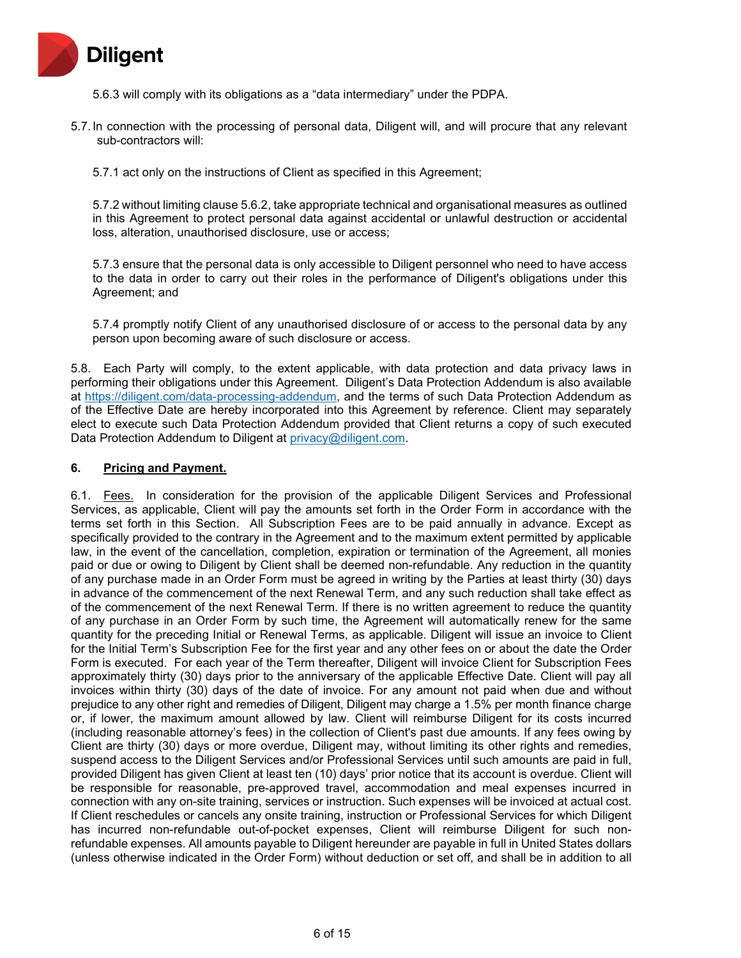

- 5.6.3 will comply with its obligations as a "data intermediary" under the PDPA.
- 5.7. In connection with the processing of personal data, Diligent will, and will procure that any relevant sub-contractors will:
	- 5.7.1 act only on the instructions of Client as specified in this Agreement;

5.7.2 without limiting clause 5.6.2, take appropriate technical and organisational measures as outlined in this Agreement to protect personal data against accidental or unlawful destruction or accidental loss, alteration, unauthorised disclosure, use or access;

5.7.3 ensure that the personal data is only accessible to Diligent personnel who need to have access to the data in order to carry out their roles in the performance of Diligent's obligations under this Agreement; and

5.7.4 promptly notify Client of any unauthorised disclosure of or access to the personal data by any person upon becoming aware of such disclosure or access.

5.8. Each Party will comply, to the extent applicable, with data protection and data privacy laws in performing their obligations under this Agreement. Diligent's Data Protection Addendum is also available at [https://diligent.com/data-processing-addendum,](https://diligent.com/data-processing-addendum) and the terms of such Data Protection Addendum as of the Effective Date are hereby incorporated into this Agreement by reference. Client may separately elect to execute such Data Protection Addendum provided that Client returns a copy of such executed Data Protection Addendum to Diligent at [privacy@diligent.com.](mailto:privacy@diligent.com)

#### **6. Pricing and Payment.**

6.1. Fees. In consideration for the provision of the applicable Diligent Services and Professional Services, as applicable, Client will pay the amounts set forth in the Order Form in accordance with the terms set forth in this Section. All Subscription Fees are to be paid annually in advance. Except as specifically provided to the contrary in the Agreement and to the maximum extent permitted by applicable law, in the event of the cancellation, completion, expiration or termination of the Agreement, all monies paid or due or owing to Diligent by Client shall be deemed non-refundable. Any reduction in the quantity of any purchase made in an Order Form must be agreed in writing by the Parties at least thirty (30) days in advance of the commencement of the next Renewal Term, and any such reduction shall take effect as of the commencement of the next Renewal Term. If there is no written agreement to reduce the quantity of any purchase in an Order Form by such time, the Agreement will automatically renew for the same quantity for the preceding Initial or Renewal Terms, as applicable. Diligent will issue an invoice to Client for the Initial Term's Subscription Fee for the first year and any other fees on or about the date the Order Form is executed. For each year of the Term thereafter, Diligent will invoice Client for Subscription Fees approximately thirty (30) days prior to the anniversary of the applicable Effective Date. Client will pay all invoices within thirty (30) days of the date of invoice. For any amount not paid when due and without prejudice to any other right and remedies of Diligent, Diligent may charge a 1.5% per month finance charge or, if lower, the maximum amount allowed by law. Client will reimburse Diligent for its costs incurred (including reasonable attorney's fees) in the collection of Client's past due amounts. If any fees owing by Client are thirty (30) days or more overdue, Diligent may, without limiting its other rights and remedies, suspend access to the Diligent Services and/or Professional Services until such amounts are paid in full, provided Diligent has given Client at least ten (10) days' prior notice that its account is overdue. Client will be responsible for reasonable, pre-approved travel, accommodation and meal expenses incurred in connection with any on-site training, services or instruction. Such expenses will be invoiced at actual cost. If Client reschedules or cancels any onsite training, instruction or Professional Services for which Diligent has incurred non-refundable out-of-pocket expenses, Client will reimburse Diligent for such nonrefundable expenses. All amounts payable to Diligent hereunder are payable in full in United States dollars (unless otherwise indicated in the Order Form) without deduction or set off, and shall be in addition to all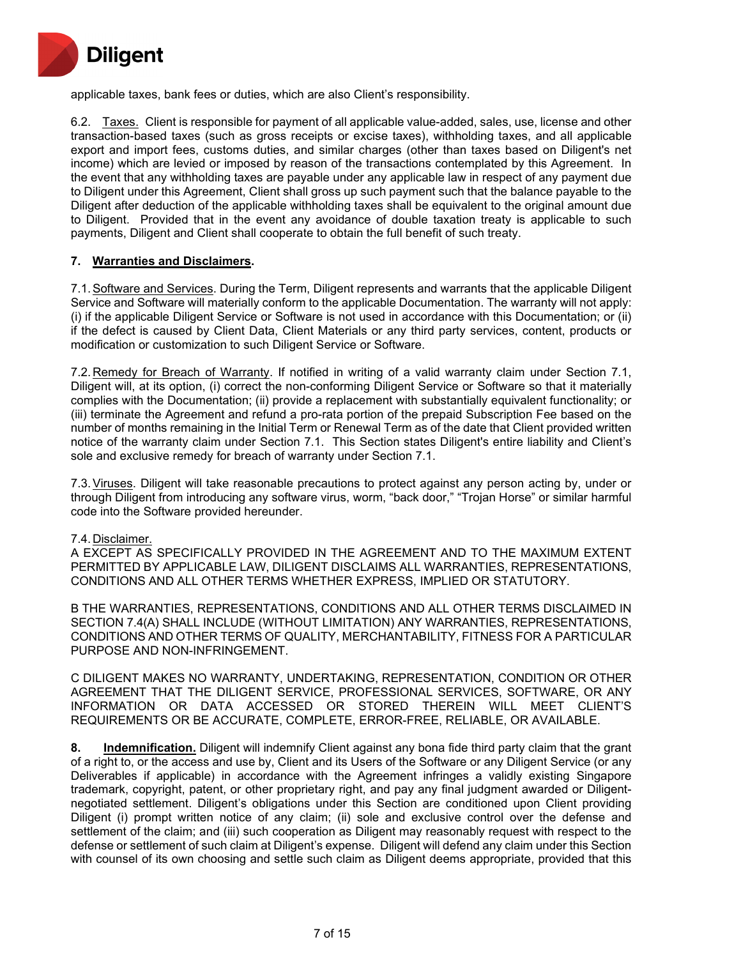

applicable taxes, bank fees or duties, which are also Client's responsibility.

6.2. Taxes. Client is responsible for payment of all applicable value-added, sales, use, license and other transaction-based taxes (such as gross receipts or excise taxes), withholding taxes, and all applicable export and import fees, customs duties, and similar charges (other than taxes based on Diligent's net income) which are levied or imposed by reason of the transactions contemplated by this Agreement. In the event that any withholding taxes are payable under any applicable law in respect of any payment due to Diligent under this Agreement, Client shall gross up such payment such that the balance payable to the Diligent after deduction of the applicable withholding taxes shall be equivalent to the original amount due to Diligent. Provided that in the event any avoidance of double taxation treaty is applicable to such payments, Diligent and Client shall cooperate to obtain the full benefit of such treaty.

## **7. Warranties and Disclaimers.**

7.1.Software and Services. During the Term, Diligent represents and warrants that the applicable Diligent Service and Software will materially conform to the applicable Documentation. The warranty will not apply: (i) if the applicable Diligent Service or Software is not used in accordance with this Documentation; or (ii) if the defect is caused by Client Data, Client Materials or any third party services, content, products or modification or customization to such Diligent Service or Software.

7.2. Remedy for Breach of Warranty. If notified in writing of a valid warranty claim under Section 7.1, Diligent will, at its option, (i) correct the non-conforming Diligent Service or Software so that it materially complies with the Documentation; (ii) provide a replacement with substantially equivalent functionality; or (iii) terminate the Agreement and refund a pro-rata portion of the prepaid Subscription Fee based on the number of months remaining in the Initial Term or Renewal Term as of the date that Client provided written notice of the warranty claim under Section 7.1. This Section states Diligent's entire liability and Client's sole and exclusive remedy for breach of warranty under Section 7.1.

7.3.Viruses. Diligent will take reasonable precautions to protect against any person acting by, under or through Diligent from introducing any software virus, worm, "back door," "Trojan Horse" or similar harmful code into the Software provided hereunder.

#### 7.4. Disclaimer.

A EXCEPT AS SPECIFICALLY PROVIDED IN THE AGREEMENT AND TO THE MAXIMUM EXTENT PERMITTED BY APPLICABLE LAW, DILIGENT DISCLAIMS ALL WARRANTIES, REPRESENTATIONS, CONDITIONS AND ALL OTHER TERMS WHETHER EXPRESS, IMPLIED OR STATUTORY.

B THE WARRANTIES, REPRESENTATIONS, CONDITIONS AND ALL OTHER TERMS DISCLAIMED IN SECTION 7.4(A) SHALL INCLUDE (WITHOUT LIMITATION) ANY WARRANTIES, REPRESENTATIONS, CONDITIONS AND OTHER TERMS OF QUALITY, MERCHANTABILITY, FITNESS FOR A PARTICULAR PURPOSE AND NON-INFRINGEMENT.

C DILIGENT MAKES NO WARRANTY, UNDERTAKING, REPRESENTATION, CONDITION OR OTHER AGREEMENT THAT THE DILIGENT SERVICE, PROFESSIONAL SERVICES, SOFTWARE, OR ANY INFORMATION OR DATA ACCESSED OR STORED THEREIN WILL MEET CLIENT'S REQUIREMENTS OR BE ACCURATE, COMPLETE, ERROR-FREE, RELIABLE, OR AVAILABLE.

**8. Indemnification.** Diligent will indemnify Client against any bona fide third party claim that the grant of a right to, or the access and use by, Client and its Users of the Software or any Diligent Service (or any Deliverables if applicable) in accordance with the Agreement infringes a validly existing Singapore trademark, copyright, patent, or other proprietary right, and pay any final judgment awarded or Diligentnegotiated settlement. Diligent's obligations under this Section are conditioned upon Client providing Diligent (i) prompt written notice of any claim; (ii) sole and exclusive control over the defense and settlement of the claim; and (iii) such cooperation as Diligent may reasonably request with respect to the defense or settlement of such claim at Diligent's expense. Diligent will defend any claim under this Section with counsel of its own choosing and settle such claim as Diligent deems appropriate, provided that this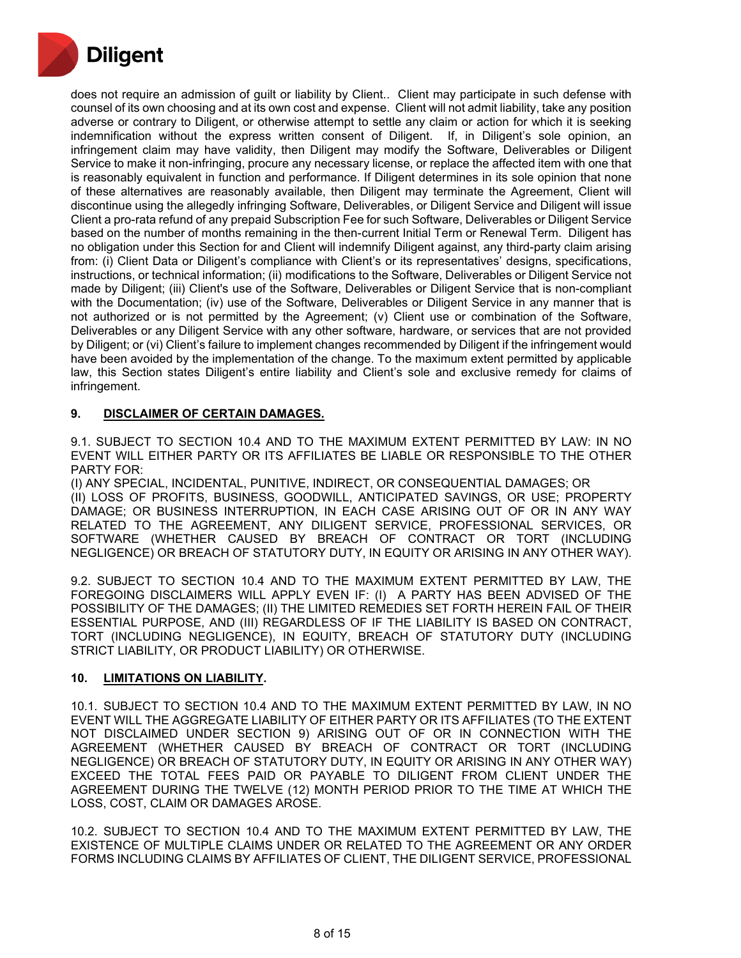

does not require an admission of guilt or liability by Client.. Client may participate in such defense with counsel of its own choosing and at its own cost and expense. Client will not admit liability, take any position adverse or contrary to Diligent, or otherwise attempt to settle any claim or action for which it is seeking indemnification without the express written consent of Diligent. If, in Diligent's sole opinion, an infringement claim may have validity, then Diligent may modify the Software, Deliverables or Diligent Service to make it non-infringing, procure any necessary license, or replace the affected item with one that is reasonably equivalent in function and performance. If Diligent determines in its sole opinion that none of these alternatives are reasonably available, then Diligent may terminate the Agreement, Client will discontinue using the allegedly infringing Software, Deliverables, or Diligent Service and Diligent will issue Client a pro-rata refund of any prepaid Subscription Fee for such Software, Deliverables or Diligent Service based on the number of months remaining in the then-current Initial Term or Renewal Term. Diligent has no obligation under this Section for and Client will indemnify Diligent against, any third-party claim arising from: (i) Client Data or Diligent's compliance with Client's or its representatives' designs, specifications, instructions, or technical information; (ii) modifications to the Software, Deliverables or Diligent Service not made by Diligent; (iii) Client's use of the Software, Deliverables or Diligent Service that is non-compliant with the Documentation; (iv) use of the Software, Deliverables or Diligent Service in any manner that is not authorized or is not permitted by the Agreement; (v) Client use or combination of the Software, Deliverables or any Diligent Service with any other software, hardware, or services that are not provided by Diligent; or (vi) Client's failure to implement changes recommended by Diligent if the infringement would have been avoided by the implementation of the change. To the maximum extent permitted by applicable law, this Section states Diligent's entire liability and Client's sole and exclusive remedy for claims of infringement.

## **9. DISCLAIMER OF CERTAIN DAMAGES.**

9.1. SUBJECT TO SECTION 10.4 AND TO THE MAXIMUM EXTENT PERMITTED BY LAW: IN NO EVENT WILL EITHER PARTY OR ITS AFFILIATES BE LIABLE OR RESPONSIBLE TO THE OTHER PARTY FOR:

(I) ANY SPECIAL, INCIDENTAL, PUNITIVE, INDIRECT, OR CONSEQUENTIAL DAMAGES; OR (II) LOSS OF PROFITS, BUSINESS, GOODWILL, ANTICIPATED SAVINGS, OR USE; PROPERTY DAMAGE; OR BUSINESS INTERRUPTION, IN EACH CASE ARISING OUT OF OR IN ANY WAY RELATED TO THE AGREEMENT, ANY DILIGENT SERVICE, PROFESSIONAL SERVICES, OR SOFTWARE (WHETHER CAUSED BY BREACH OF CONTRACT OR TORT (INCLUDING NEGLIGENCE) OR BREACH OF STATUTORY DUTY, IN EQUITY OR ARISING IN ANY OTHER WAY).

9.2. SUBJECT TO SECTION 10.4 AND TO THE MAXIMUM EXTENT PERMITTED BY LAW, THE FOREGOING DISCLAIMERS WILL APPLY EVEN IF: (I) A PARTY HAS BEEN ADVISED OF THE POSSIBILITY OF THE DAMAGES; (II) THE LIMITED REMEDIES SET FORTH HEREIN FAIL OF THEIR ESSENTIAL PURPOSE, AND (III) REGARDLESS OF IF THE LIABILITY IS BASED ON CONTRACT, TORT (INCLUDING NEGLIGENCE), IN EQUITY, BREACH OF STATUTORY DUTY (INCLUDING STRICT LIABILITY, OR PRODUCT LIABILITY) OR OTHERWISE.

## **10. LIMITATIONS ON LIABILITY.**

10.1. SUBJECT TO SECTION 10.4 AND TO THE MAXIMUM EXTENT PERMITTED BY LAW, IN NO EVENT WILL THE AGGREGATE LIABILITY OF EITHER PARTY OR ITS AFFILIATES (TO THE EXTENT NOT DISCLAIMED UNDER SECTION 9) ARISING OUT OF OR IN CONNECTION WITH THE AGREEMENT (WHETHER CAUSED BY BREACH OF CONTRACT OR TORT (INCLUDING NEGLIGENCE) OR BREACH OF STATUTORY DUTY, IN EQUITY OR ARISING IN ANY OTHER WAY) EXCEED THE TOTAL FEES PAID OR PAYABLE TO DILIGENT FROM CLIENT UNDER THE AGREEMENT DURING THE TWELVE (12) MONTH PERIOD PRIOR TO THE TIME AT WHICH THE LOSS, COST, CLAIM OR DAMAGES AROSE.

10.2. SUBJECT TO SECTION 10.4 AND TO THE MAXIMUM EXTENT PERMITTED BY LAW, THE EXISTENCE OF MULTIPLE CLAIMS UNDER OR RELATED TO THE AGREEMENT OR ANY ORDER FORMS INCLUDING CLAIMS BY AFFILIATES OF CLIENT, THE DILIGENT SERVICE, PROFESSIONAL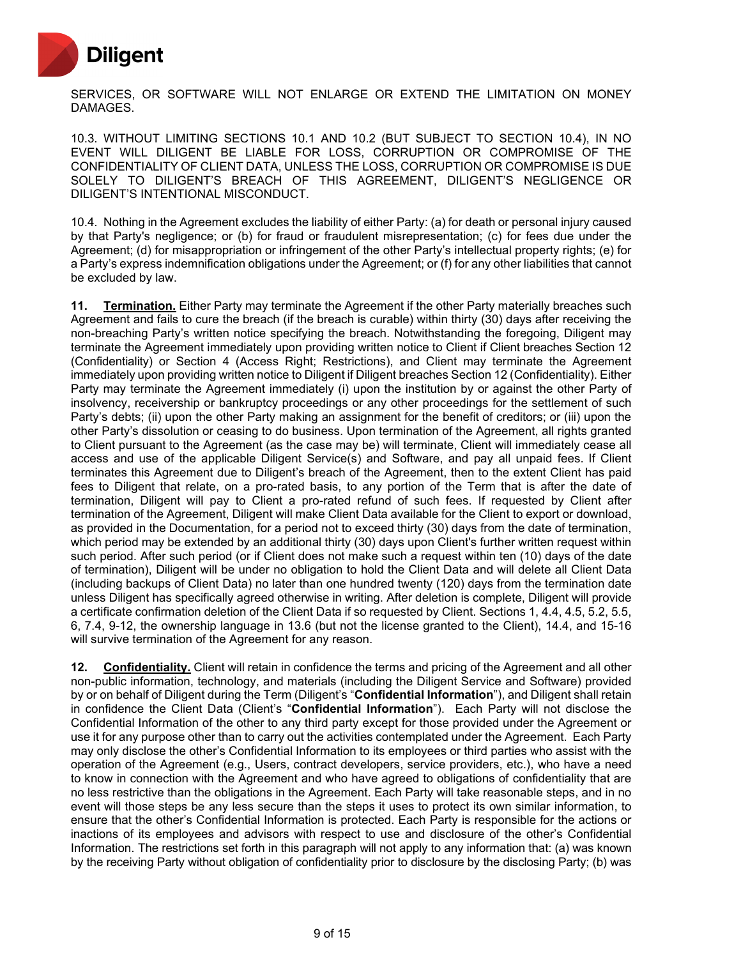

SERVICES, OR SOFTWARE WILL NOT ENLARGE OR EXTEND THE LIMITATION ON MONEY DAMAGES.

10.3. WITHOUT LIMITING SECTIONS 10.1 AND 10.2 (BUT SUBJECT TO SECTION 10.4), IN NO EVENT WILL DILIGENT BE LIABLE FOR LOSS, CORRUPTION OR COMPROMISE OF THE CONFIDENTIALITY OF CLIENT DATA, UNLESS THE LOSS, CORRUPTION OR COMPROMISE IS DUE SOLELY TO DILIGENT'S BREACH OF THIS AGREEMENT, DILIGENT'S NEGLIGENCE OR DILIGENT'S INTENTIONAL MISCONDUCT.

10.4. Nothing in the Agreement excludes the liability of either Party: (a) for death or personal injury caused by that Party's negligence; or (b) for fraud or fraudulent misrepresentation; (c) for fees due under the Agreement; (d) for misappropriation or infringement of the other Party's intellectual property rights; (e) for a Party's express indemnification obligations under the Agreement; or (f) for any other liabilities that cannot be excluded by law.

**11. Termination.** Either Party may terminate the Agreement if the other Party materially breaches such Agreement and fails to cure the breach (if the breach is curable) within thirty (30) days after receiving the non-breaching Party's written notice specifying the breach. Notwithstanding the foregoing, Diligent may terminate the Agreement immediately upon providing written notice to Client if Client breaches Section 12 (Confidentiality) or Section 4 (Access Right; Restrictions), and Client may terminate the Agreement immediately upon providing written notice to Diligent if Diligent breaches Section 12 (Confidentiality). Either Party may terminate the Agreement immediately (i) upon the institution by or against the other Party of insolvency, receivership or bankruptcy proceedings or any other proceedings for the settlement of such Party's debts; (ii) upon the other Party making an assignment for the benefit of creditors; or (iii) upon the other Party's dissolution or ceasing to do business. Upon termination of the Agreement, all rights granted to Client pursuant to the Agreement (as the case may be) will terminate, Client will immediately cease all access and use of the applicable Diligent Service(s) and Software, and pay all unpaid fees. If Client terminates this Agreement due to Diligent's breach of the Agreement, then to the extent Client has paid fees to Diligent that relate, on a pro-rated basis, to any portion of the Term that is after the date of termination, Diligent will pay to Client a pro-rated refund of such fees. If requested by Client after termination of the Agreement, Diligent will make Client Data available for the Client to export or download, as provided in the Documentation, for a period not to exceed thirty (30) days from the date of termination, which period may be extended by an additional thirty (30) days upon Client's further written request within such period. After such period (or if Client does not make such a request within ten (10) days of the date of termination), Diligent will be under no obligation to hold the Client Data and will delete all Client Data (including backups of Client Data) no later than one hundred twenty (120) days from the termination date unless Diligent has specifically agreed otherwise in writing. After deletion is complete, Diligent will provide a certificate confirmation deletion of the Client Data if so requested by Client. Sections 1, 4.4, 4.5, 5.2, 5.5, 6, 7.4, 9-12, the ownership language in 13.6 (but not the license granted to the Client), 14.4, and 15-16 will survive termination of the Agreement for any reason.

**12. Confidentiality.** Client will retain in confidence the terms and pricing of the Agreement and all other non-public information, technology, and materials (including the Diligent Service and Software) provided by or on behalf of Diligent during the Term (Diligent's "**Confidential Information**"), and Diligent shall retain in confidence the Client Data (Client's "**Confidential Information**"). Each Party will not disclose the Confidential Information of the other to any third party except for those provided under the Agreement or use it for any purpose other than to carry out the activities contemplated under the Agreement. Each Party may only disclose the other's Confidential Information to its employees or third parties who assist with the operation of the Agreement (e.g., Users, contract developers, service providers, etc.), who have a need to know in connection with the Agreement and who have agreed to obligations of confidentiality that are no less restrictive than the obligations in the Agreement. Each Party will take reasonable steps, and in no event will those steps be any less secure than the steps it uses to protect its own similar information, to ensure that the other's Confidential Information is protected. Each Party is responsible for the actions or inactions of its employees and advisors with respect to use and disclosure of the other's Confidential Information. The restrictions set forth in this paragraph will not apply to any information that: (a) was known by the receiving Party without obligation of confidentiality prior to disclosure by the disclosing Party; (b) was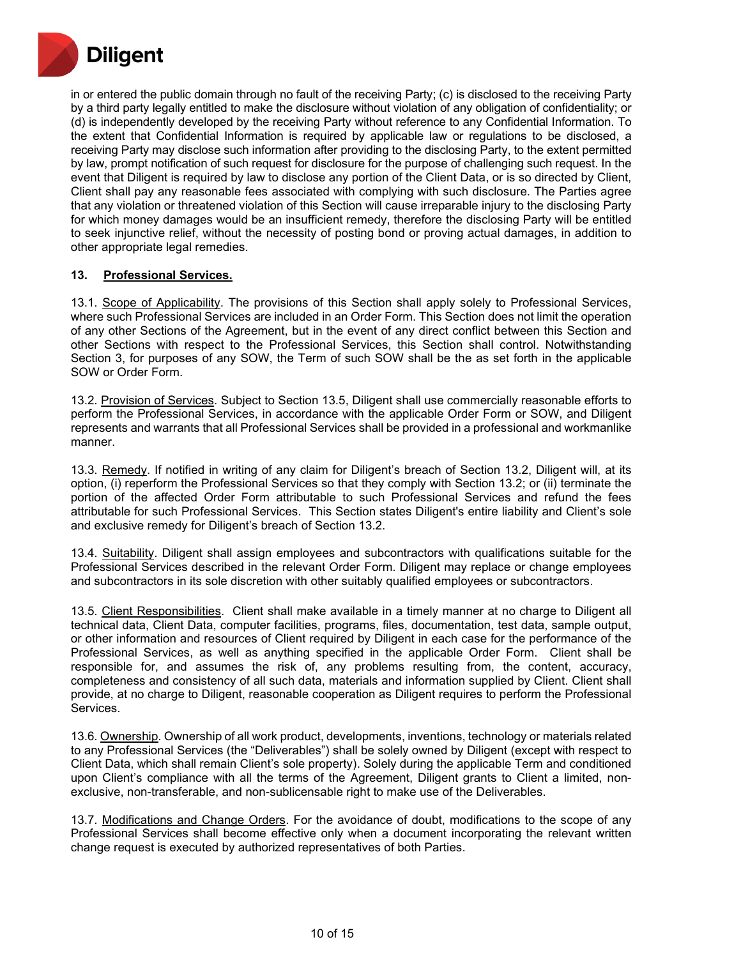

in or entered the public domain through no fault of the receiving Party; (c) is disclosed to the receiving Party by a third party legally entitled to make the disclosure without violation of any obligation of confidentiality; or (d) is independently developed by the receiving Party without reference to any Confidential Information. To the extent that Confidential Information is required by applicable law or regulations to be disclosed, a receiving Party may disclose such information after providing to the disclosing Party, to the extent permitted by law, prompt notification of such request for disclosure for the purpose of challenging such request. In the event that Diligent is required by law to disclose any portion of the Client Data, or is so directed by Client, Client shall pay any reasonable fees associated with complying with such disclosure. The Parties agree that any violation or threatened violation of this Section will cause irreparable injury to the disclosing Party for which money damages would be an insufficient remedy, therefore the disclosing Party will be entitled to seek injunctive relief, without the necessity of posting bond or proving actual damages, in addition to other appropriate legal remedies.

#### **13. Professional Services.**

13.1. Scope of Applicability. The provisions of this Section shall apply solely to Professional Services, where such Professional Services are included in an Order Form. This Section does not limit the operation of any other Sections of the Agreement, but in the event of any direct conflict between this Section and other Sections with respect to the Professional Services, this Section shall control. Notwithstanding Section 3, for purposes of any SOW, the Term of such SOW shall be the as set forth in the applicable SOW or Order Form.

13.2. Provision of Services. Subject to Section 13.5, Diligent shall use commercially reasonable efforts to perform the Professional Services, in accordance with the applicable Order Form or SOW, and Diligent represents and warrants that all Professional Services shall be provided in a professional and workmanlike manner.

13.3. Remedy. If notified in writing of any claim for Diligent's breach of Section 13.2, Diligent will, at its option, (i) reperform the Professional Services so that they comply with Section 13.2; or (ii) terminate the portion of the affected Order Form attributable to such Professional Services and refund the fees attributable for such Professional Services. This Section states Diligent's entire liability and Client's sole and exclusive remedy for Diligent's breach of Section 13.2.

13.4. Suitability. Diligent shall assign employees and subcontractors with qualifications suitable for the Professional Services described in the relevant Order Form. Diligent may replace or change employees and subcontractors in its sole discretion with other suitably qualified employees or subcontractors.

13.5. Client Responsibilities. Client shall make available in a timely manner at no charge to Diligent all technical data, Client Data, computer facilities, programs, files, documentation, test data, sample output, or other information and resources of Client required by Diligent in each case for the performance of the Professional Services, as well as anything specified in the applicable Order Form. Client shall be responsible for, and assumes the risk of, any problems resulting from, the content, accuracy, completeness and consistency of all such data, materials and information supplied by Client. Client shall provide, at no charge to Diligent, reasonable cooperation as Diligent requires to perform the Professional Services.

13.6. Ownership. Ownership of all work product, developments, inventions, technology or materials related to any Professional Services (the "Deliverables") shall be solely owned by Diligent (except with respect to Client Data, which shall remain Client's sole property). Solely during the applicable Term and conditioned upon Client's compliance with all the terms of the Agreement, Diligent grants to Client a limited, nonexclusive, non-transferable, and non-sublicensable right to make use of the Deliverables.

13.7. Modifications and Change Orders. For the avoidance of doubt, modifications to the scope of any Professional Services shall become effective only when a document incorporating the relevant written change request is executed by authorized representatives of both Parties.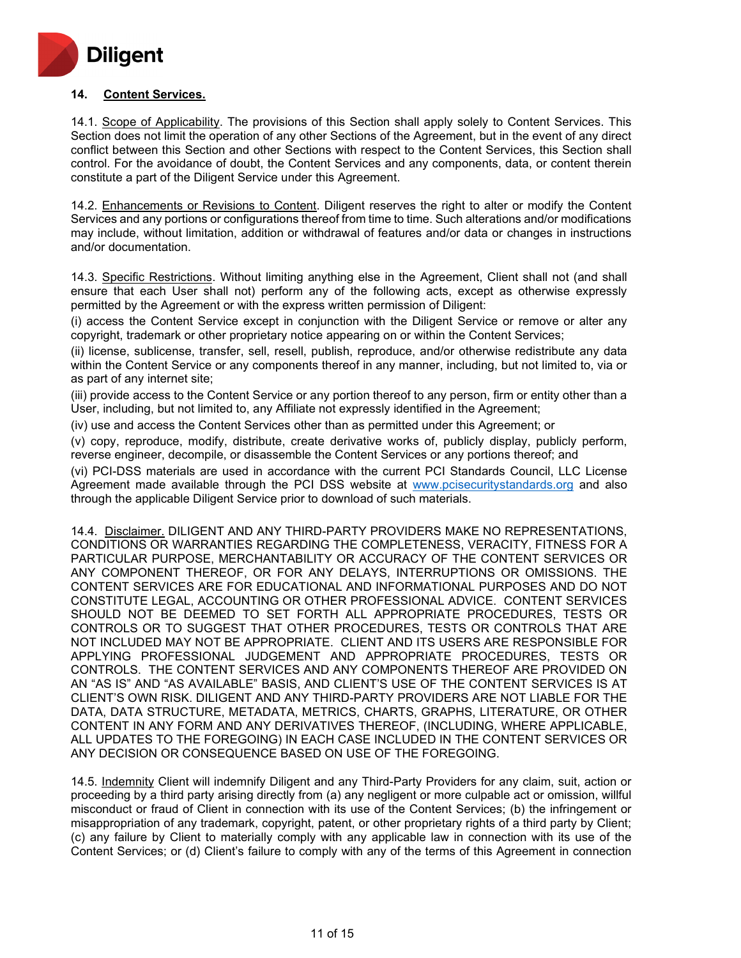

# **14. Content Services.**

14.1. Scope of Applicability. The provisions of this Section shall apply solely to Content Services. This Section does not limit the operation of any other Sections of the Agreement, but in the event of any direct conflict between this Section and other Sections with respect to the Content Services, this Section shall control. For the avoidance of doubt, the Content Services and any components, data, or content therein constitute a part of the Diligent Service under this Agreement.

14.2. Enhancements or Revisions to Content. Diligent reserves the right to alter or modify the Content Services and any portions or configurations thereof from time to time. Such alterations and/or modifications may include, without limitation, addition or withdrawal of features and/or data or changes in instructions and/or documentation.

14.3. Specific Restrictions. Without limiting anything else in the Agreement, Client shall not (and shall ensure that each User shall not) perform any of the following acts, except as otherwise expressly permitted by the Agreement or with the express written permission of Diligent:

(i) access the Content Service except in conjunction with the Diligent Service or remove or alter any copyright, trademark or other proprietary notice appearing on or within the Content Services;

(ii) license, sublicense, transfer, sell, resell, publish, reproduce, and/or otherwise redistribute any data within the Content Service or any components thereof in any manner, including, but not limited to, via or as part of any internet site;

(iii) provide access to the Content Service or any portion thereof to any person, firm or entity other than a User, including, but not limited to, any Affiliate not expressly identified in the Agreement;

(iv) use and access the Content Services other than as permitted under this Agreement; or

(v) copy, reproduce, modify, distribute, create derivative works of, publicly display, publicly perform, reverse engineer, decompile, or disassemble the Content Services or any portions thereof; and

(vi) PCI-DSS materials are used in accordance with the current PCI Standards Council, LLC License Agreement made available through the PCI DSS website at [www.pcisecuritystandards.org](http://www.pcisecuritystandards.org/) and also through the applicable Diligent Service prior to download of such materials.

14.4. Disclaimer. DILIGENT AND ANY THIRD-PARTY PROVIDERS MAKE NO REPRESENTATIONS, CONDITIONS OR WARRANTIES REGARDING THE COMPLETENESS, VERACITY, FITNESS FOR A PARTICULAR PURPOSE, MERCHANTABILITY OR ACCURACY OF THE CONTENT SERVICES OR ANY COMPONENT THEREOF, OR FOR ANY DELAYS, INTERRUPTIONS OR OMISSIONS. THE CONTENT SERVICES ARE FOR EDUCATIONAL AND INFORMATIONAL PURPOSES AND DO NOT CONSTITUTE LEGAL, ACCOUNTING OR OTHER PROFESSIONAL ADVICE. CONTENT SERVICES SHOULD NOT BE DEEMED TO SET FORTH ALL APPROPRIATE PROCEDURES, TESTS OR CONTROLS OR TO SUGGEST THAT OTHER PROCEDURES, TESTS OR CONTROLS THAT ARE NOT INCLUDED MAY NOT BE APPROPRIATE. CLIENT AND ITS USERS ARE RESPONSIBLE FOR APPLYING PROFESSIONAL JUDGEMENT AND APPROPRIATE PROCEDURES, TESTS OR CONTROLS. THE CONTENT SERVICES AND ANY COMPONENTS THEREOF ARE PROVIDED ON AN "AS IS" AND "AS AVAILABLE" BASIS, AND CLIENT'S USE OF THE CONTENT SERVICES IS AT CLIENT'S OWN RISK. DILIGENT AND ANY THIRD-PARTY PROVIDERS ARE NOT LIABLE FOR THE DATA, DATA STRUCTURE, METADATA, METRICS, CHARTS, GRAPHS, LITERATURE, OR OTHER CONTENT IN ANY FORM AND ANY DERIVATIVES THEREOF, (INCLUDING, WHERE APPLICABLE, ALL UPDATES TO THE FOREGOING) IN EACH CASE INCLUDED IN THE CONTENT SERVICES OR ANY DECISION OR CONSEQUENCE BASED ON USE OF THE FOREGOING.

14.5. Indemnity Client will indemnify Diligent and any Third-Party Providers for any claim, suit, action or proceeding by a third party arising directly from (a) any negligent or more culpable act or omission, willful misconduct or fraud of Client in connection with its use of the Content Services; (b) the infringement or misappropriation of any trademark, copyright, patent, or other proprietary rights of a third party by Client; (c) any failure by Client to materially comply with any applicable law in connection with its use of the Content Services; or (d) Client's failure to comply with any of the terms of this Agreement in connection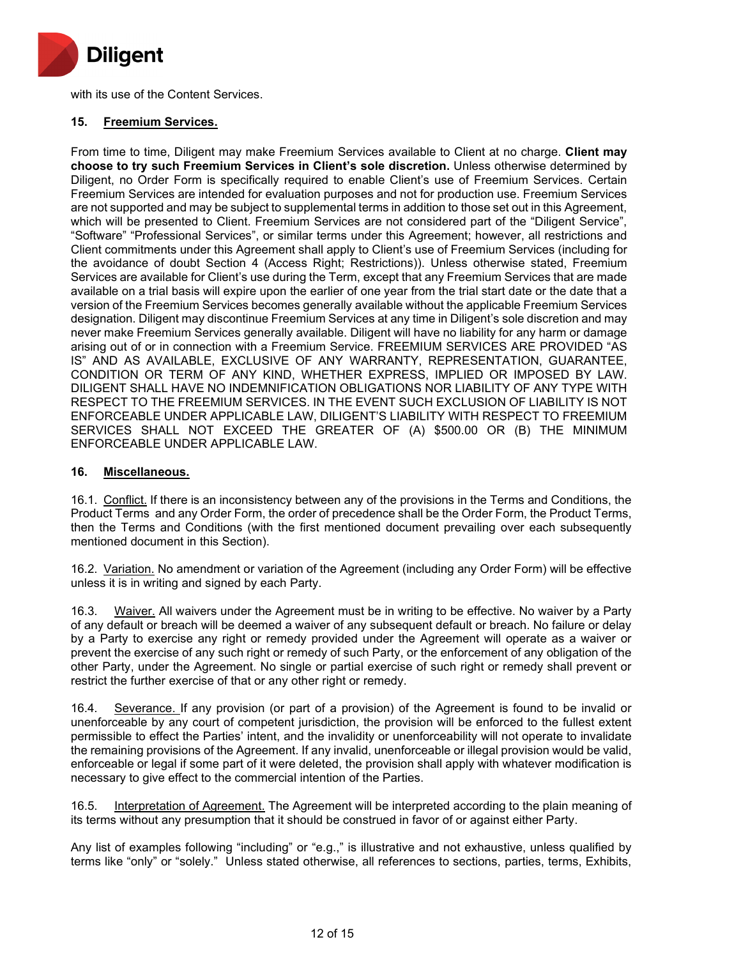

with its use of the Content Services.

#### **15. Freemium Services.**

From time to time, Diligent may make Freemium Services available to Client at no charge. **Client may choose to try such Freemium Services in Client's sole discretion.** Unless otherwise determined by Diligent, no Order Form is specifically required to enable Client's use of Freemium Services. Certain Freemium Services are intended for evaluation purposes and not for production use. Freemium Services are not supported and may be subject to supplemental terms in addition to those set out in this Agreement, which will be presented to Client. Freemium Services are not considered part of the "Diligent Service", "Software" "Professional Services", or similar terms under this Agreement; however, all restrictions and Client commitments under this Agreement shall apply to Client's use of Freemium Services (including for the avoidance of doubt Section 4 (Access Right; Restrictions)). Unless otherwise stated, Freemium Services are available for Client's use during the Term, except that any Freemium Services that are made available on a trial basis will expire upon the earlier of one year from the trial start date or the date that a version of the Freemium Services becomes generally available without the applicable Freemium Services designation. Diligent may discontinue Freemium Services at any time in Diligent's sole discretion and may never make Freemium Services generally available. Diligent will have no liability for any harm or damage arising out of or in connection with a Freemium Service. FREEMIUM SERVICES ARE PROVIDED "AS IS" AND AS AVAILABLE, EXCLUSIVE OF ANY WARRANTY, REPRESENTATION, GUARANTEE, CONDITION OR TERM OF ANY KIND, WHETHER EXPRESS, IMPLIED OR IMPOSED BY LAW. DILIGENT SHALL HAVE NO INDEMNIFICATION OBLIGATIONS NOR LIABILITY OF ANY TYPE WITH RESPECT TO THE FREEMIUM SERVICES. IN THE EVENT SUCH EXCLUSION OF LIABILITY IS NOT ENFORCEABLE UNDER APPLICABLE LAW, DILIGENT'S LIABILITY WITH RESPECT TO FREEMIUM SERVICES SHALL NOT EXCEED THE GREATER OF (A) \$500.00 OR (B) THE MINIMUM ENFORCEABLE UNDER APPLICABLE LAW.

#### **16. Miscellaneous.**

16.1. Conflict. If there is an inconsistency between any of the provisions in the Terms and Conditions, the Product Terms and any Order Form, the order of precedence shall be the Order Form, the Product Terms, then the Terms and Conditions (with the first mentioned document prevailing over each subsequently mentioned document in this Section).

16.2. Variation. No amendment or variation of the Agreement (including any Order Form) will be effective unless it is in writing and signed by each Party.

16.3. Waiver. All waivers under the Agreement must be in writing to be effective. No waiver by a Party of any default or breach will be deemed a waiver of any subsequent default or breach. No failure or delay by a Party to exercise any right or remedy provided under the Agreement will operate as a waiver or prevent the exercise of any such right or remedy of such Party, or the enforcement of any obligation of the other Party, under the Agreement. No single or partial exercise of such right or remedy shall prevent or restrict the further exercise of that or any other right or remedy.

16.4. Severance. If any provision (or part of a provision) of the Agreement is found to be invalid or unenforceable by any court of competent jurisdiction, the provision will be enforced to the fullest extent permissible to effect the Parties' intent, and the invalidity or unenforceability will not operate to invalidate the remaining provisions of the Agreement. If any invalid, unenforceable or illegal provision would be valid, enforceable or legal if some part of it were deleted, the provision shall apply with whatever modification is necessary to give effect to the commercial intention of the Parties.

16.5. Interpretation of Agreement. The Agreement will be interpreted according to the plain meaning of its terms without any presumption that it should be construed in favor of or against either Party.

Any list of examples following "including" or "e.g.," is illustrative and not exhaustive, unless qualified by terms like "only" or "solely." Unless stated otherwise, all references to sections, parties, terms, Exhibits,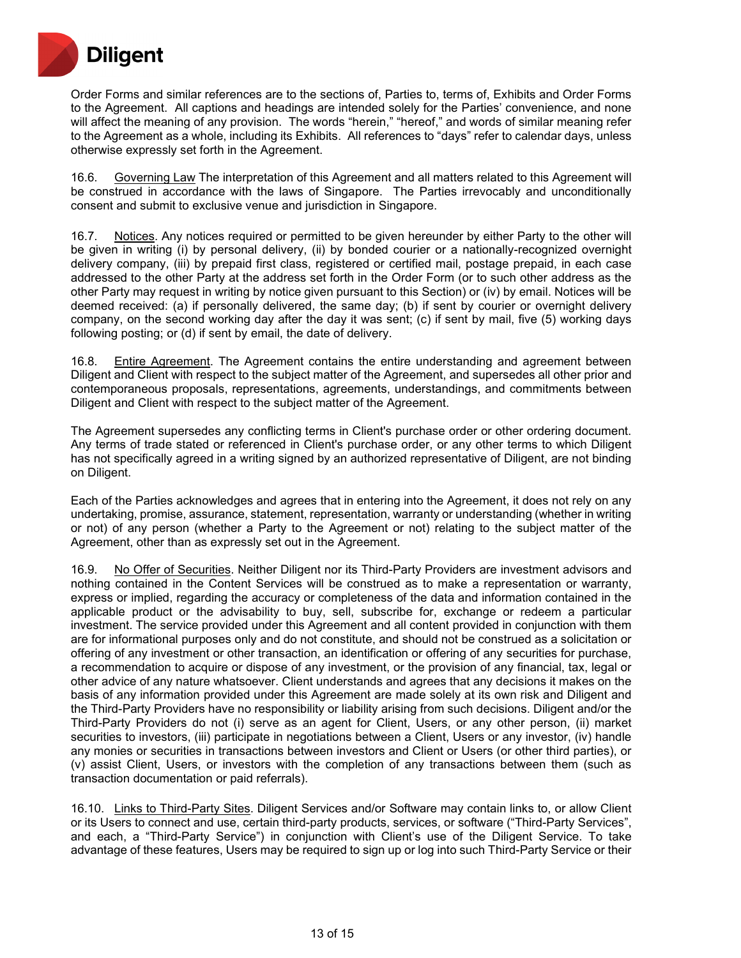

Order Forms and similar references are to the sections of, Parties to, terms of, Exhibits and Order Forms to the Agreement. All captions and headings are intended solely for the Parties' convenience, and none will affect the meaning of any provision. The words "herein," "hereof," and words of similar meaning refer to the Agreement as a whole, including its Exhibits. All references to "days" refer to calendar days, unless otherwise expressly set forth in the Agreement.

16.6. Governing Law The interpretation of this Agreement and all matters related to this Agreement will be construed in accordance with the laws of Singapore. The Parties irrevocably and unconditionally consent and submit to exclusive venue and jurisdiction in Singapore.

16.7. Notices. Any notices required or permitted to be given hereunder by either Party to the other will be given in writing (i) by personal delivery, (ii) by bonded courier or a nationally-recognized overnight delivery company, (iii) by prepaid first class, registered or certified mail, postage prepaid, in each case addressed to the other Party at the address set forth in the Order Form (or to such other address as the other Party may request in writing by notice given pursuant to this Section) or (iv) by email. Notices will be deemed received: (a) if personally delivered, the same day; (b) if sent by courier or overnight delivery company, on the second working day after the day it was sent; (c) if sent by mail, five (5) working days following posting; or (d) if sent by email, the date of delivery.

16.8. Entire Agreement. The Agreement contains the entire understanding and agreement between Diligent and Client with respect to the subject matter of the Agreement, and supersedes all other prior and contemporaneous proposals, representations, agreements, understandings, and commitments between Diligent and Client with respect to the subject matter of the Agreement.

The Agreement supersedes any conflicting terms in Client's purchase order or other ordering document. Any terms of trade stated or referenced in Client's purchase order, or any other terms to which Diligent has not specifically agreed in a writing signed by an authorized representative of Diligent, are not binding on Diligent.

Each of the Parties acknowledges and agrees that in entering into the Agreement, it does not rely on any undertaking, promise, assurance, statement, representation, warranty or understanding (whether in writing or not) of any person (whether a Party to the Agreement or not) relating to the subject matter of the Agreement, other than as expressly set out in the Agreement.

16.9. No Offer of Securities. Neither Diligent nor its Third-Party Providers are investment advisors and nothing contained in the Content Services will be construed as to make a representation or warranty, express or implied, regarding the accuracy or completeness of the data and information contained in the applicable product or the advisability to buy, sell, subscribe for, exchange or redeem a particular investment. The service provided under this Agreement and all content provided in conjunction with them are for informational purposes only and do not constitute, and should not be construed as a solicitation or offering of any investment or other transaction, an identification or offering of any securities for purchase, a recommendation to acquire or dispose of any investment, or the provision of any financial, tax, legal or other advice of any nature whatsoever. Client understands and agrees that any decisions it makes on the basis of any information provided under this Agreement are made solely at its own risk and Diligent and the Third-Party Providers have no responsibility or liability arising from such decisions. Diligent and/or the Third-Party Providers do not (i) serve as an agent for Client, Users, or any other person, (ii) market securities to investors, (iii) participate in negotiations between a Client, Users or any investor, (iv) handle any monies or securities in transactions between investors and Client or Users (or other third parties), or (v) assist Client, Users, or investors with the completion of any transactions between them (such as transaction documentation or paid referrals).

16.10. Links to Third-Party Sites. Diligent Services and/or Software may contain links to, or allow Client or its Users to connect and use, certain third-party products, services, or software ("Third-Party Services", and each, a "Third-Party Service") in conjunction with Client's use of the Diligent Service. To take advantage of these features, Users may be required to sign up or log into such Third-Party Service or their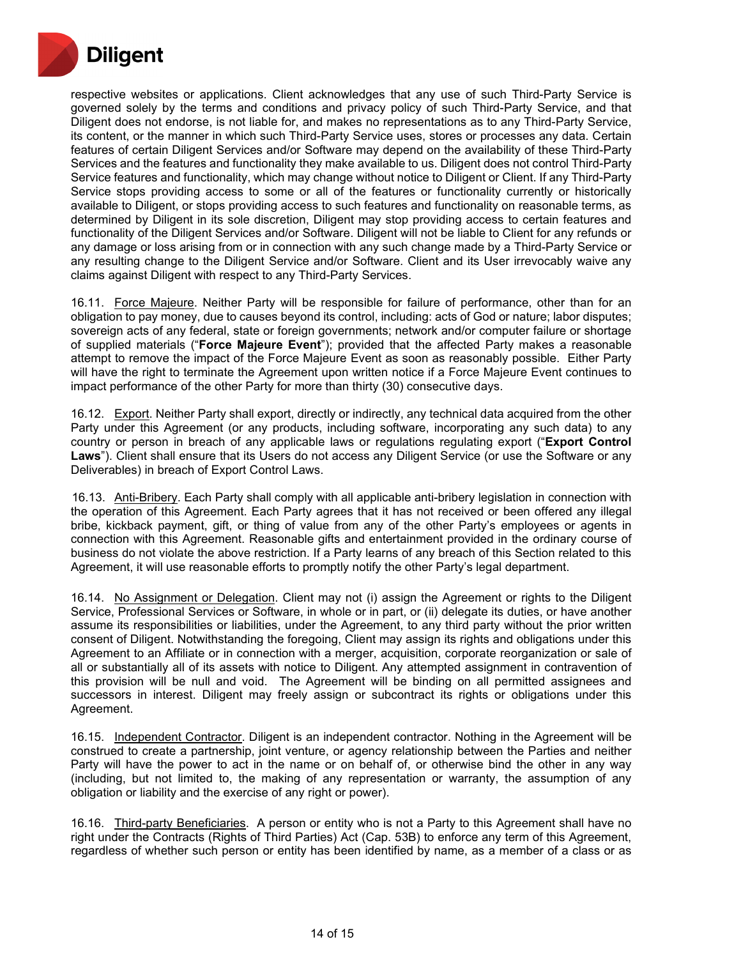

respective websites or applications. Client acknowledges that any use of such Third-Party Service is governed solely by the terms and conditions and privacy policy of such Third-Party Service, and that Diligent does not endorse, is not liable for, and makes no representations as to any Third-Party Service, its content, or the manner in which such Third-Party Service uses, stores or processes any data. Certain features of certain Diligent Services and/or Software may depend on the availability of these Third-Party Services and the features and functionality they make available to us. Diligent does not control Third-Party Service features and functionality, which may change without notice to Diligent or Client. If any Third-Party Service stops providing access to some or all of the features or functionality currently or historically available to Diligent, or stops providing access to such features and functionality on reasonable terms, as determined by Diligent in its sole discretion, Diligent may stop providing access to certain features and functionality of the Diligent Services and/or Software. Diligent will not be liable to Client for any refunds or any damage or loss arising from or in connection with any such change made by a Third-Party Service or any resulting change to the Diligent Service and/or Software. Client and its User irrevocably waive any claims against Diligent with respect to any Third-Party Services.

16.11. Force Majeure. Neither Party will be responsible for failure of performance, other than for an obligation to pay money, due to causes beyond its control, including: acts of God or nature; labor disputes; sovereign acts of any federal, state or foreign governments; network and/or computer failure or shortage of supplied materials ("**Force Majeure Event**"); provided that the affected Party makes a reasonable attempt to remove the impact of the Force Majeure Event as soon as reasonably possible. Either Party will have the right to terminate the Agreement upon written notice if a Force Majeure Event continues to impact performance of the other Party for more than thirty (30) consecutive days.

16.12. Export. Neither Party shall export, directly or indirectly, any technical data acquired from the other Party under this Agreement (or any products, including software, incorporating any such data) to any country or person in breach of any applicable laws or regulations regulating export ("**Export Control Laws**"). Client shall ensure that its Users do not access any Diligent Service (or use the Software or any Deliverables) in breach of Export Control Laws.

16.13. Anti-Bribery. Each Party shall comply with all applicable anti-bribery legislation in connection with the operation of this Agreement. Each Party agrees that it has not received or been offered any illegal bribe, kickback payment, gift, or thing of value from any of the other Party's employees or agents in connection with this Agreement. Reasonable gifts and entertainment provided in the ordinary course of business do not violate the above restriction. If a Party learns of any breach of this Section related to this Agreement, it will use reasonable efforts to promptly notify the other Party's legal department.

16.14. No Assignment or Delegation. Client may not (i) assign the Agreement or rights to the Diligent Service, Professional Services or Software, in whole or in part, or (ii) delegate its duties, or have another assume its responsibilities or liabilities, under the Agreement, to any third party without the prior written consent of Diligent. Notwithstanding the foregoing, Client may assign its rights and obligations under this Agreement to an Affiliate or in connection with a merger, acquisition, corporate reorganization or sale of all or substantially all of its assets with notice to Diligent. Any attempted assignment in contravention of this provision will be null and void. The Agreement will be binding on all permitted assignees and successors in interest. Diligent may freely assign or subcontract its rights or obligations under this Agreement.

16.15. Independent Contractor. Diligent is an independent contractor. Nothing in the Agreement will be construed to create a partnership, joint venture, or agency relationship between the Parties and neither Party will have the power to act in the name or on behalf of, or otherwise bind the other in any way (including, but not limited to, the making of any representation or warranty, the assumption of any obligation or liability and the exercise of any right or power).

16.16. Third-party Beneficiaries. A person or entity who is not a Party to this Agreement shall have no right under the Contracts (Rights of Third Parties) Act (Cap. 53B) to enforce any term of this Agreement, regardless of whether such person or entity has been identified by name, as a member of a class or as